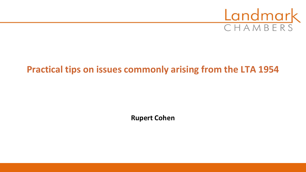

# **Practical tips on issues commonly arising from the LTA 1954**

**Rupert Cohen**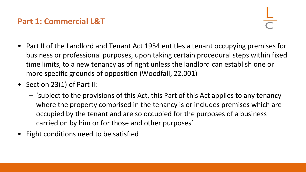#### **Part 1: Commercial L&T**

- Part II of the Landlord and Tenant Act 1954 entitles a tenant occupying premises for business or professional purposes, upon taking certain procedural steps within fixed time limits, to a new tenancy as of right unless the landlord can establish one or more specific grounds of opposition (Woodfall, 22.001)
- Section 23(1) of Part II:
	- 'subject to the provisions of this Act, this Part of this Act applies to any tenancy where the property comprised in the tenancy is or includes premises which are occupied by the tenant and are so occupied for the purposes of a business carried on by him or for those and other purposes'
- Eight conditions need to be satisfied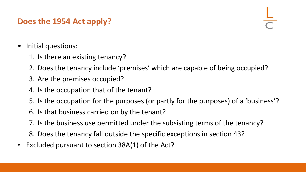#### **Does the 1954 Act apply?**

- Initial questions:
	- 1. Is there an existing tenancy?
	- 2. Does the tenancy include 'premises' which are capable of being occupied?
	- 3. Are the premises occupied?
	- 4. Is the occupation that of the tenant?
	- 5. Is the occupation for the purposes (or partly for the purposes) of a 'business'?
	- 6. Is that business carried on by the tenant?
	- 7. Is the business use permitted under the subsisting terms of the tenancy?
	- 8. Does the tenancy fall outside the specific exceptions in section 43?
- Excluded pursuant to section 38A(1) of the Act?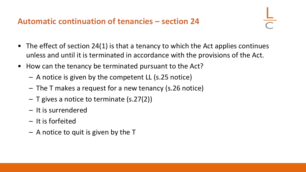#### **Automatic continuation of tenancies – section 24**

- The effect of section 24(1) is that a tenancy to which the Act applies continues unless and until it is terminated in accordance with the provisions of the Act.
- How can the tenancy be terminated pursuant to the Act?
	- A notice is given by the competent LL (s.25 notice)
	- The T makes a request for a new tenancy (s.26 notice)
	- $-$  T gives a notice to terminate (s.27(2))
	- It is surrendered
	- It is forfeited
	- A notice to quit is given by the T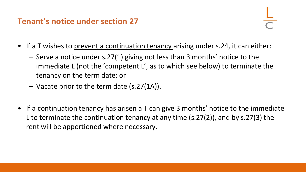#### **Tenant's notice under section 27**

- If a T wishes to prevent a continuation tenancy arising under s.24, it can either:
	- Serve a notice under s.27(1) giving not less than 3 months' notice to the immediate L (not the 'competent L', as to which see below) to terminate the tenancy on the term date; or
	- Vacate prior to the term date (s.27(1A)).
- If a continuation tenancy has arisen a T can give 3 months' notice to the immediate L to terminate the continuation tenancy at any time (s.27(2)), and by s.27(3) the rent will be apportioned where necessary.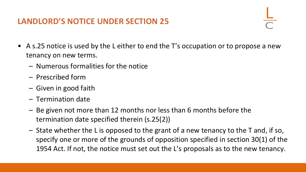#### **LANDLORD'S NOTICE UNDER SECTION 25**

- 
- A s.25 notice is used by the L either to end the T's occupation or to propose a new tenancy on new terms.
	- Numerous formalities for the notice
	- Prescribed form
	- Given in good faith
	- Termination date
	- Be given not more than 12 months nor less than 6 months before the termination date specified therein (s.25(2))
	- State whether the L is opposed to the grant of a new tenancy to the T and, if so, specify one or more of the grounds of opposition specified in section 30(1) of the 1954 Act. If not, the notice must set out the L's proposals as to the new tenancy.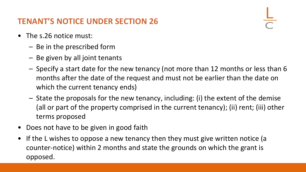# **TENANT'S NOTICE UNDER SECTION 26**

- The s.26 notice must:
	- Be in the prescribed form
	- Be given by all joint tenants
	- Specify a start date for the new tenancy (not more than 12 months or less than 6 months after the date of the request and must not be earlier than the date on which the current tenancy ends)
	- State the proposals for the new tenancy, including: (i) the extent of the demise (all or part of the property comprised in the current tenancy); (ii) rent; (iii) other terms proposed
- Does not have to be given in good faith
- If the L wishes to oppose a new tenancy then they must give written notice (a counter-notice) within 2 months and state the grounds on which the grant is opposed.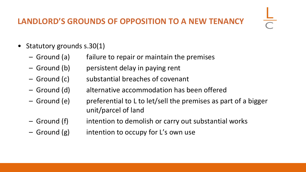### **LANDLORD'S GROUNDS OF OPPOSITION TO A NEW TENANCY**

- Statutory grounds s.30(1)
	- Ground (a) failure to repair or maintain the premises
	- Ground (b) persistent delay in paying rent
	- Ground (c) substantial breaches of covenant
	- Ground (d) alternative accommodation has been offered
	- Ground (e) preferential to L to let/sell the premises as part of a bigger unit/parcel of land
	- Ground (f) intention to demolish or carry out substantial works
	- $-$  Ground (g) intention to occupy for L's own use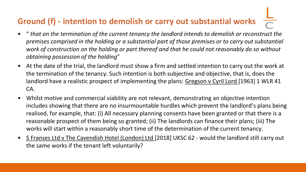# **Ground (f) - intention to demolish or carry out substantial works**

- " *that on the termination of the current tenancy the landlord intends to demolish or reconstruct the premises comprised in the holding or a substantial part of those premises or to carry out substantial work of construction on the holding or part thereof and that he could not reasonably do so without obtaining possession of the holding*"
- At the date of the trial, the landlord must show a firm and settled intention to carry out the work at the termination of the tenancy. Such intention is both subjective and objective, that is, does the landlord have a realistic prospect of implementing the plans: Gregson v Cyril Lord [1963] 1 WLR 41 CA.
- Whilst motive and commercial viability are not relevant, demonstrating an objective intention includes showing that there are no insurmountable hurdles which prevent the landlord's plans being realised, for example, that: (i) All necessary planning consents have been granted or that there is a reasonable prospect of them being so granted; (ii) The landlords can finance their plans; (iii) The works will start within a reasonably short time of the determination of the current tenancy.
- S Franses Ltd v The Cavendish Hotel (London) Ltd [2018] UKSC 62 would the landlord still carry out the same works if the tenant left voluntarily?